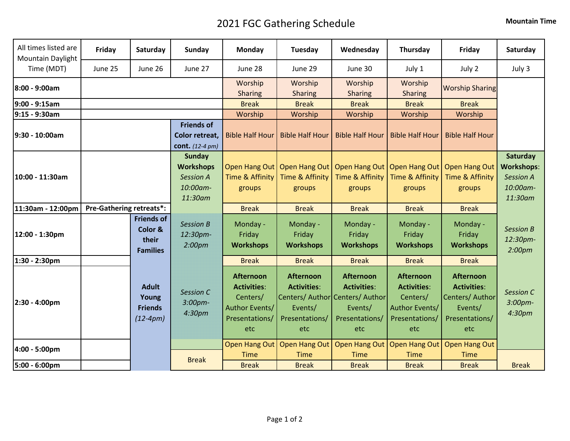## 2021 FGC Gathering Schedule **Mountain Time**

| July 3<br>Time (MDT)<br>June 25<br>June 26<br>June 27<br>June 28<br>June 29<br>June 30<br>July 1<br>July 2<br>Worship<br>Worship<br>Worship<br>Worship<br><b>Worship Sharing</b><br><b>Sharing</b><br><b>Sharing</b><br>Sharing<br><b>Sharing</b><br><b>Break</b><br><b>Break</b><br><b>Break</b><br><b>Break</b><br><b>Break</b><br>Worship<br>Worship<br>Worship<br>Worship<br>Worship<br><b>Friends of</b><br><b>Bible Half Hour</b><br>Color retreat,<br><b>Bible Half Hour</b><br><b>Bible Half Hour</b><br><b>Bible Half Hour</b><br><b>Bible Half Hour</b><br><b>cont.</b> $(12-4 \text{ pm})$<br><b>Sunday</b><br>Open Hang Out   Open Hang Out   Open Hang Out   Open Hang Out   Open Hang Out<br><b>Workshops</b><br>Time & Affinity<br>10:00 - 11:30am<br><b>Session A</b><br>Time & Affinity<br><b>Time &amp; Affinity</b><br>Time & Affinity<br>Time & Affinity<br><b>Session A</b><br>10:00am-<br>groups<br>groups<br>groups<br>groups<br>groups<br>11:30am<br>11:30am<br><b>Pre-Gathering retreats*:</b><br>11:30am - 12:00pm<br><b>Break</b><br><b>Break</b><br><b>Break</b><br><b>Break</b><br><b>Break</b><br><b>Friends of</b><br><b>Session B</b><br>Monday -<br>Monday -<br>Monday -<br>Monday -<br>Monday -<br><b>Session B</b><br>Color &<br>12:00 - 1:30pm<br>12:30pm-<br>Friday<br>Friday<br>Friday<br>Friday<br>Friday<br>their<br>2:00 <sub>pm</sub><br><b>Workshops</b><br><b>Workshops</b><br><b>Workshops</b><br><b>Workshops</b><br><b>Workshops</b><br>2:00 <sub>pm</sub><br><b>Families</b><br>1:30 - 2:30pm<br><b>Break</b><br><b>Break</b><br><b>Break</b><br><b>Break</b><br><b>Break</b><br><b>Afternoon</b><br>Afternoon<br><b>Afternoon</b><br><b>Afternoon</b><br><b>Afternoon</b><br><b>Adult</b><br><b>Activities:</b><br><b>Activities:</b><br><b>Activities:</b><br><b>Activities:</b><br><b>Activities:</b><br>Session C<br><b>Session C</b> | All times listed are<br>Mountain Daylight | Friday | Saturday | Sunday | <b>Monday</b> | Tuesday | Wednesday | Thursday | Friday          | Saturday                                  |
|-------------------------------------------------------------------------------------------------------------------------------------------------------------------------------------------------------------------------------------------------------------------------------------------------------------------------------------------------------------------------------------------------------------------------------------------------------------------------------------------------------------------------------------------------------------------------------------------------------------------------------------------------------------------------------------------------------------------------------------------------------------------------------------------------------------------------------------------------------------------------------------------------------------------------------------------------------------------------------------------------------------------------------------------------------------------------------------------------------------------------------------------------------------------------------------------------------------------------------------------------------------------------------------------------------------------------------------------------------------------------------------------------------------------------------------------------------------------------------------------------------------------------------------------------------------------------------------------------------------------------------------------------------------------------------------------------------------------------------------------------------------------------------------------------------------------------------------------------------------------------------------------|-------------------------------------------|--------|----------|--------|---------------|---------|-----------|----------|-----------------|-------------------------------------------|
| 8:00 - 9:00am<br>9:00 - 9:15am<br>9:15 - 9:30am<br>9:30 - 10:00am                                                                                                                                                                                                                                                                                                                                                                                                                                                                                                                                                                                                                                                                                                                                                                                                                                                                                                                                                                                                                                                                                                                                                                                                                                                                                                                                                                                                                                                                                                                                                                                                                                                                                                                                                                                                                         |                                           |        |          |        |               |         |           |          |                 |                                           |
|                                                                                                                                                                                                                                                                                                                                                                                                                                                                                                                                                                                                                                                                                                                                                                                                                                                                                                                                                                                                                                                                                                                                                                                                                                                                                                                                                                                                                                                                                                                                                                                                                                                                                                                                                                                                                                                                                           |                                           |        |          |        |               |         |           |          |                 |                                           |
|                                                                                                                                                                                                                                                                                                                                                                                                                                                                                                                                                                                                                                                                                                                                                                                                                                                                                                                                                                                                                                                                                                                                                                                                                                                                                                                                                                                                                                                                                                                                                                                                                                                                                                                                                                                                                                                                                           |                                           |        |          |        |               |         |           |          |                 |                                           |
|                                                                                                                                                                                                                                                                                                                                                                                                                                                                                                                                                                                                                                                                                                                                                                                                                                                                                                                                                                                                                                                                                                                                                                                                                                                                                                                                                                                                                                                                                                                                                                                                                                                                                                                                                                                                                                                                                           |                                           |        |          |        |               |         |           |          |                 |                                           |
|                                                                                                                                                                                                                                                                                                                                                                                                                                                                                                                                                                                                                                                                                                                                                                                                                                                                                                                                                                                                                                                                                                                                                                                                                                                                                                                                                                                                                                                                                                                                                                                                                                                                                                                                                                                                                                                                                           |                                           |        |          |        |               |         |           |          |                 |                                           |
|                                                                                                                                                                                                                                                                                                                                                                                                                                                                                                                                                                                                                                                                                                                                                                                                                                                                                                                                                                                                                                                                                                                                                                                                                                                                                                                                                                                                                                                                                                                                                                                                                                                                                                                                                                                                                                                                                           |                                           |        |          |        |               |         |           |          |                 | Saturday<br><b>Workshops:</b><br>10:00am- |
|                                                                                                                                                                                                                                                                                                                                                                                                                                                                                                                                                                                                                                                                                                                                                                                                                                                                                                                                                                                                                                                                                                                                                                                                                                                                                                                                                                                                                                                                                                                                                                                                                                                                                                                                                                                                                                                                                           |                                           |        |          |        |               |         |           |          |                 |                                           |
|                                                                                                                                                                                                                                                                                                                                                                                                                                                                                                                                                                                                                                                                                                                                                                                                                                                                                                                                                                                                                                                                                                                                                                                                                                                                                                                                                                                                                                                                                                                                                                                                                                                                                                                                                                                                                                                                                           |                                           |        |          |        |               |         |           |          |                 | 12:30pm-                                  |
|                                                                                                                                                                                                                                                                                                                                                                                                                                                                                                                                                                                                                                                                                                                                                                                                                                                                                                                                                                                                                                                                                                                                                                                                                                                                                                                                                                                                                                                                                                                                                                                                                                                                                                                                                                                                                                                                                           |                                           |        |          |        |               |         |           |          |                 |                                           |
| Centers/ Author Centers/ Author<br>3:00pm-<br>3:00pm-<br>2:30 - 4:00pm<br>Author Events/<br><b>Friends</b><br>Events/<br>Events/<br>Author Events/<br>Events/<br>4:30pm<br>4:30pm<br>$(12-4pm)$<br>Presentations/<br>Presentations/<br>Presentations/<br>Presentations/<br>Presentations/<br>etc<br>etc<br>etc<br>etc<br>etc                                                                                                                                                                                                                                                                                                                                                                                                                                                                                                                                                                                                                                                                                                                                                                                                                                                                                                                                                                                                                                                                                                                                                                                                                                                                                                                                                                                                                                                                                                                                                              |                                           |        | Young    |        | Centers/      |         |           | Centers/ | Centers/ Author |                                           |
| Open Hang Out   Open Hang Out<br><b>Open Hang Out</b><br>Open Hang Out   Open Hang Out<br>4:00 - 5:00pm                                                                                                                                                                                                                                                                                                                                                                                                                                                                                                                                                                                                                                                                                                                                                                                                                                                                                                                                                                                                                                                                                                                                                                                                                                                                                                                                                                                                                                                                                                                                                                                                                                                                                                                                                                                   |                                           |        |          |        |               |         |           |          |                 |                                           |
| <b>Time</b><br><b>Time</b><br><b>Time</b><br><b>Time</b><br><b>Time</b><br><b>Break</b><br>5:00 - 6:00pm<br><b>Break</b><br><b>Break</b><br><b>Break</b><br><b>Break</b><br><b>Break</b><br><b>Break</b>                                                                                                                                                                                                                                                                                                                                                                                                                                                                                                                                                                                                                                                                                                                                                                                                                                                                                                                                                                                                                                                                                                                                                                                                                                                                                                                                                                                                                                                                                                                                                                                                                                                                                  |                                           |        |          |        |               |         |           |          |                 |                                           |